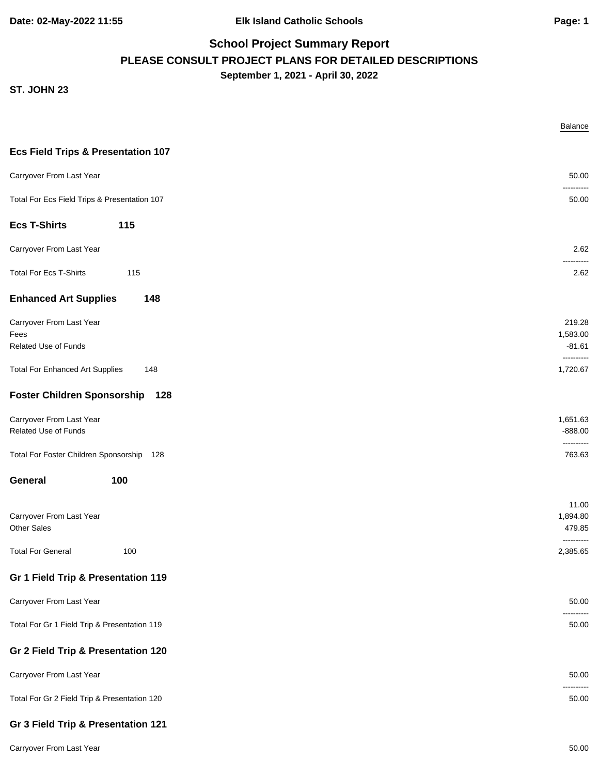#### **ST. JOHN 23**

|                                                                 | Balance                                      |
|-----------------------------------------------------------------|----------------------------------------------|
| <b>Ecs Field Trips &amp; Presentation 107</b>                   |                                              |
| Carryover From Last Year                                        | 50.00                                        |
| Total For Ecs Field Trips & Presentation 107                    | 50.00                                        |
| <b>Ecs T-Shirts</b><br>115                                      |                                              |
| Carryover From Last Year                                        | 2.62                                         |
| <b>Total For Ecs T-Shirts</b><br>115                            | 2.62                                         |
| <b>Enhanced Art Supplies</b><br>148                             |                                              |
| Carryover From Last Year<br>Fees<br><b>Related Use of Funds</b> | 219.28<br>1,583.00<br>$-81.61$<br>---------- |
| <b>Total For Enhanced Art Supplies</b><br>148                   | 1,720.67                                     |
| Foster Children Sponsorship 128                                 |                                              |
| Carryover From Last Year<br>Related Use of Funds                | 1,651.63<br>$-888.00$<br>----------          |
| Total For Foster Children Sponsorship 128                       | 763.63                                       |
| 100<br>General                                                  |                                              |
| Carryover From Last Year<br><b>Other Sales</b>                  | 11.00<br>1,894.80<br>479.85                  |
| <b>Total For General</b><br>100                                 | ----------<br>2,385.65                       |
| Gr 1 Field Trip & Presentation 119                              |                                              |
| Carryover From Last Year                                        | 50.00                                        |
| Total For Gr 1 Field Trip & Presentation 119                    | 50.00                                        |
| Gr 2 Field Trip & Presentation 120                              |                                              |
| Carryover From Last Year                                        | 50.00                                        |
| Total For Gr 2 Field Trip & Presentation 120                    | 50.00                                        |
| Gr 3 Field Trip & Presentation 121                              |                                              |

Carryover From Last Year 50.00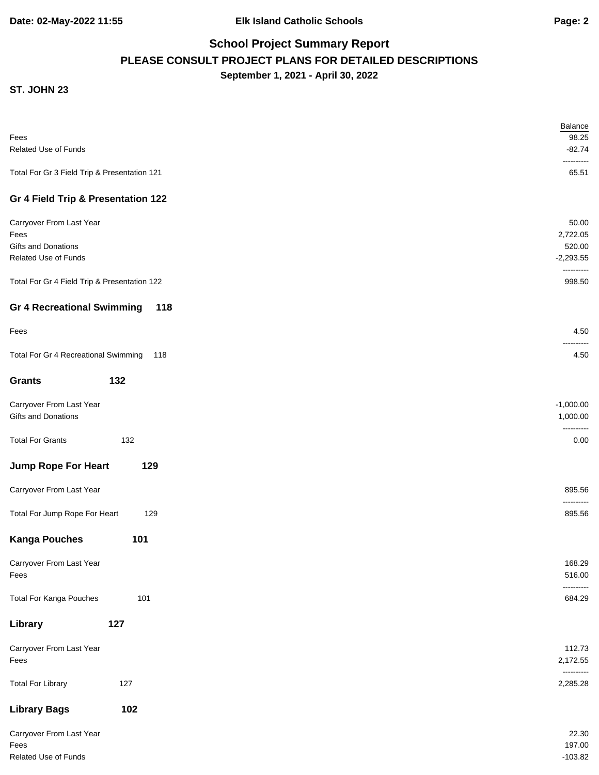|                                              | Balance                |
|----------------------------------------------|------------------------|
| Fees                                         | 98.25                  |
| Related Use of Funds                         | $-82.74$<br>-------    |
| Total For Gr 3 Field Trip & Presentation 121 | 65.51                  |
| Gr 4 Field Trip & Presentation 122           |                        |
| Carryover From Last Year                     | 50.00                  |
| Fees                                         | 2,722.05               |
| Gifts and Donations                          | 520.00                 |
| Related Use of Funds                         | $-2,293.55$            |
| Total For Gr 4 Field Trip & Presentation 122 | ----------<br>998.50   |
| <b>Gr 4 Recreational Swimming</b><br>118     |                        |
| Fees                                         | 4.50                   |
| Total For Gr 4 Recreational Swimming<br>118  | 4.50                   |
| 132<br><b>Grants</b>                         |                        |
| Carryover From Last Year                     | $-1,000.00$            |
| Gifts and Donations                          | 1,000.00               |
| <b>Total For Grants</b><br>132               | ------<br>0.00         |
| <b>Jump Rope For Heart</b><br>129            |                        |
| Carryover From Last Year                     | 895.56                 |
| Total For Jump Rope For Heart<br>129         | 895.56                 |
| <b>Kanga Pouches</b><br>101                  |                        |
| Carryover From Last Year                     | 168.29                 |
| Fees                                         | 516.00                 |
|                                              | ----------             |
| <b>Total For Kanga Pouches</b><br>101        | 684.29                 |
| 127<br>Library                               |                        |
| Carryover From Last Year                     | 112.73                 |
| Fees                                         | 2,172.55               |
| <b>Total For Library</b><br>127              | ----------<br>2,285.28 |
| 102<br><b>Library Bags</b>                   |                        |
| Carryover From Last Year                     | 22.30                  |
| Fees                                         | 197.00                 |
| Related Use of Funds                         | $-103.82$              |
|                                              |                        |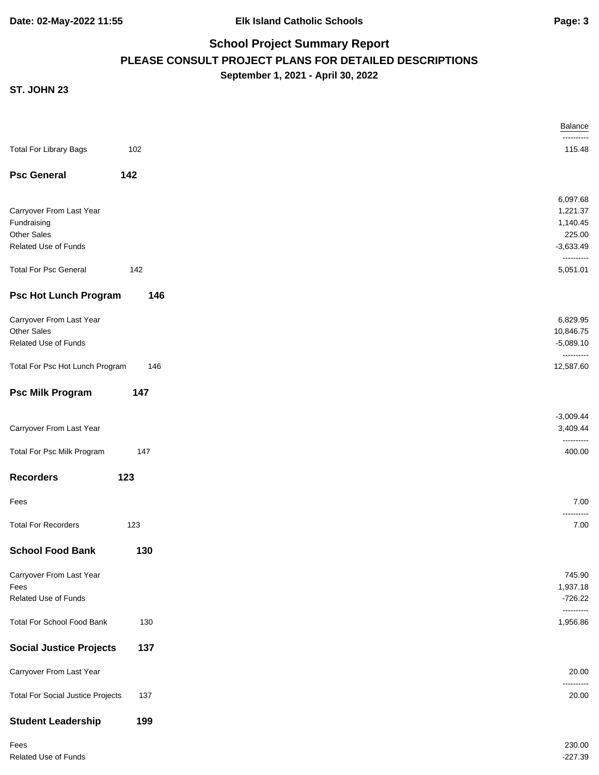|                                          |     | Balance                 |
|------------------------------------------|-----|-------------------------|
| <b>Total For Library Bags</b>            | 102 | ------<br>115.48        |
| <b>Psc General</b>                       | 142 |                         |
|                                          |     |                         |
|                                          |     | 6,097.68                |
| Carryover From Last Year                 |     | 1,221.37                |
| Fundraising<br><b>Other Sales</b>        |     | 1,140.45<br>225.00      |
| Related Use of Funds                     |     | $-3,633.49$             |
|                                          |     | ----------              |
| <b>Total For Psc General</b>             | 142 | 5,051.01                |
| <b>Psc Hot Lunch Program</b>             | 146 |                         |
| Carryover From Last Year                 |     | 6,829.95                |
| <b>Other Sales</b>                       |     | 10,846.75               |
| Related Use of Funds                     |     | $-5,089.10$             |
| Total For Psc Hot Lunch Program          | 146 | ----------<br>12,587.60 |
| <b>Psc Milk Program</b>                  | 147 |                         |
|                                          |     | $-3,009.44$             |
| Carryover From Last Year                 |     | 3,409.44                |
|                                          |     | ----------              |
| Total For Psc Milk Program               | 147 | 400.00                  |
| <b>Recorders</b>                         | 123 |                         |
| Fees                                     |     | 7.00<br>------          |
| <b>Total For Recorders</b>               | 123 | 7.00                    |
| <b>School Food Bank</b>                  | 130 |                         |
| Carryover From Last Year                 |     | 745.90                  |
| Fees                                     |     | 1,937.18                |
| <b>Related Use of Funds</b>              |     | $-726.22$               |
|                                          |     | ----------              |
| <b>Total For School Food Bank</b>        | 130 | 1,956.86                |
| <b>Social Justice Projects</b>           | 137 |                         |
| Carryover From Last Year                 |     | 20.00                   |
| <b>Total For Social Justice Projects</b> | 137 | 20.00                   |
| <b>Student Leadership</b>                | 199 |                         |
| Fees                                     |     | 230.00                  |
| Related Use of Funds                     |     | $-227.39$               |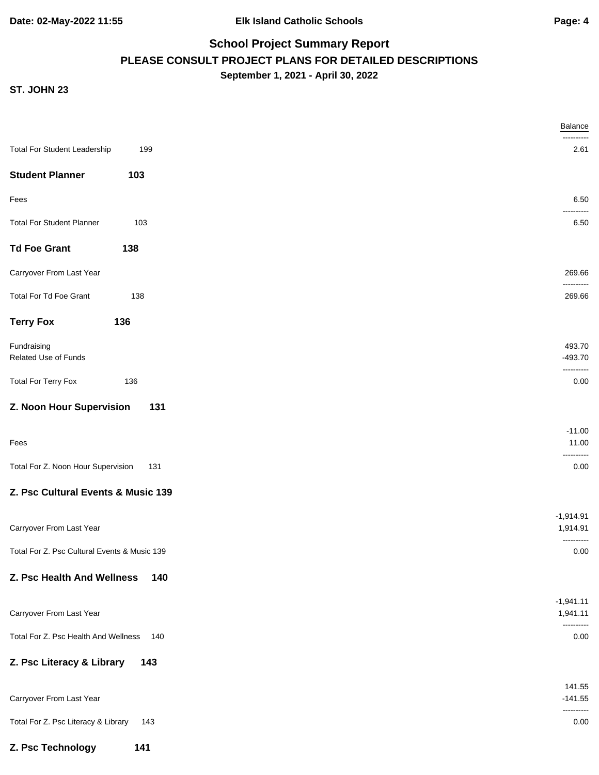|                                              | <b>Balance</b>                        |
|----------------------------------------------|---------------------------------------|
| <b>Total For Student Leadership</b><br>199   | 2.61                                  |
| <b>Student Planner</b><br>103                |                                       |
| Fees                                         | 6.50                                  |
| <b>Total For Student Planner</b><br>103      | ------<br>6.50                        |
| <b>Td Foe Grant</b><br>138                   |                                       |
| Carryover From Last Year                     | 269.66                                |
| Total For Td Foe Grant<br>138                | ----------<br>269.66                  |
| <b>Terry Fox</b><br>136                      |                                       |
| Fundraising<br>Related Use of Funds          | 493.70<br>$-493.70$                   |
| <b>Total For Terry Fox</b><br>136            | --------<br>0.00                      |
| Z. Noon Hour Supervision<br>131              |                                       |
| Fees                                         | $-11.00$<br>11.00                     |
| Total For Z. Noon Hour Supervision<br>131    | ------<br>0.00                        |
| Z. Psc Cultural Events & Music 139           |                                       |
| Carryover From Last Year                     | $-1,914.91$<br>1,914.91<br>---------- |
| Total For Z. Psc Cultural Events & Music 139 | 0.00                                  |
| Z. Psc Health And Wellness<br>140            |                                       |
| Carryover From Last Year                     | $-1,941.11$<br>1,941.11<br>---------  |
| Total For Z. Psc Health And Wellness<br>140  | 0.00                                  |
| Z. Psc Literacy & Library<br>143             |                                       |
| Carryover From Last Year                     | 141.55<br>$-141.55$                   |
| Total For Z. Psc Literacy & Library<br>143   | ----------<br>0.00                    |
| Z. Psc Technology<br>141                     |                                       |